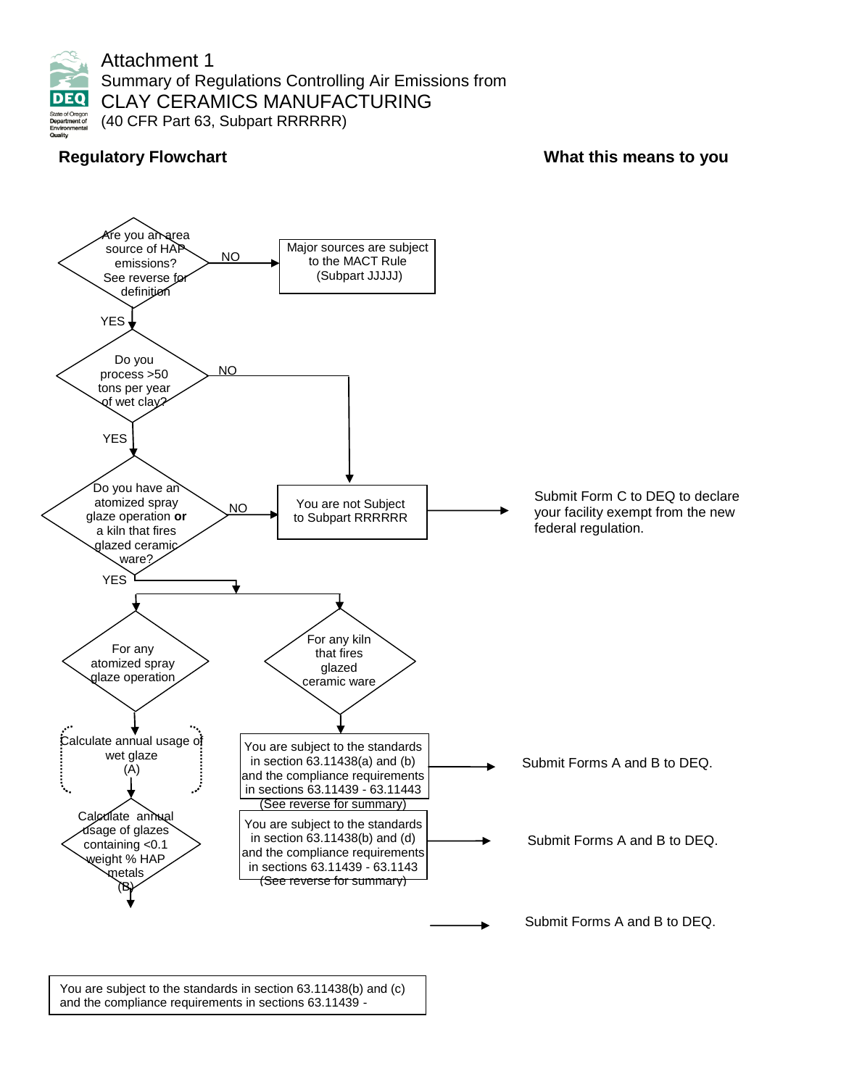

Attachment 1 Summary of Regulations Controlling Air Emissions from CLAY CERAMICS MANUFACTURING (40 CFR Part 63, Subpart RRRRRR)

# **Regulatory Flowchart Network Constraining to the UP of Constraining What this means to you**



You are subject to the standards in section 63.11438(b) and (c) and the compliance requirements in sections 63.11439 -

63.11443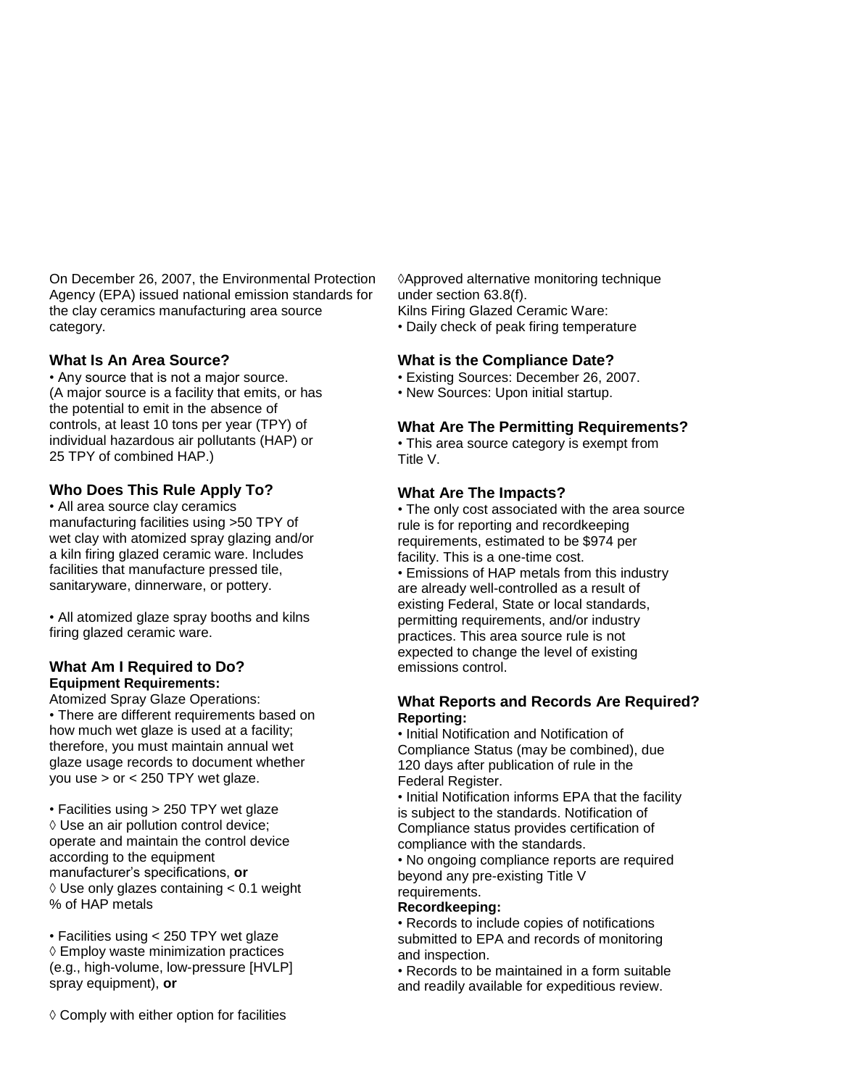On December 26, 2007, the Environmental Protection Agency (EPA) issued national emission standards for the clay ceramics manufacturing area source category.

## **What Is An Area Source?**

• Any source that is not a major source. (A major source is a facility that emits, or has the potential to emit in the absence of controls, at least 10 tons per year (TPY) of individual hazardous air pollutants (HAP) or 25 TPY of combined HAP.)

## **Who Does This Rule Apply To?**

• All area source clay ceramics manufacturing facilities using >50 TPY of wet clay with atomized spray glazing and/or a kiln firing glazed ceramic ware. Includes facilities that manufacture pressed tile, sanitaryware, dinnerware, or pottery.

• All atomized glaze spray booths and kilns firing glazed ceramic ware.

## **What Am I Required to Do? Equipment Requirements:**

Atomized Spray Glaze Operations: • There are different requirements based on how much wet glaze is used at a facility; therefore, you must maintain annual wet glaze usage records to document whether you use  $>$  or  $<$  250 TPY wet glaze.

• Facilities using > 250 TPY wet glaze ◊ Use an air pollution control device; operate and maintain the control device according to the equipment manufacturer's specifications, **or**  $\Diamond$  Use only glazes containing < 0.1 weight % of HAP metals

• Facilities using < 250 TPY wet glaze ◊ Employ waste minimization practices (e.g., high-volume, low-pressure [HVLP] spray equipment), **or**

◊ Comply with either option for facilities

◊Approved alternative monitoring technique under section 63.8(f).

Kilns Firing Glazed Ceramic Ware:

• Daily check of peak firing temperature

## **What is the Compliance Date?**

- Existing Sources: December 26, 2007.
- New Sources: Upon initial startup.

## **What Are The Permitting Requirements?**

• This area source category is exempt from Title V.

## **What Are The Impacts?**

• The only cost associated with the area source rule is for reporting and recordkeeping requirements, estimated to be \$974 per facility. This is a one-time cost.

• Emissions of HAP metals from this industry are already well-controlled as a result of existing Federal, State or local standards, permitting requirements, and/or industry practices. This area source rule is not expected to change the level of existing emissions control.

## **What Reports and Records Are Required? Reporting:**

• Initial Notification and Notification of Compliance Status (may be combined), due 120 days after publication of rule in the Federal Register.

• Initial Notification informs EPA that the facility is subject to the standards. Notification of Compliance status provides certification of compliance with the standards.

• No ongoing compliance reports are required beyond any pre-existing Title V requirements.

#### **Recordkeeping:**

• Records to include copies of notifications submitted to EPA and records of monitoring and inspection.

• Records to be maintained in a form suitable and readily available for expeditious review.